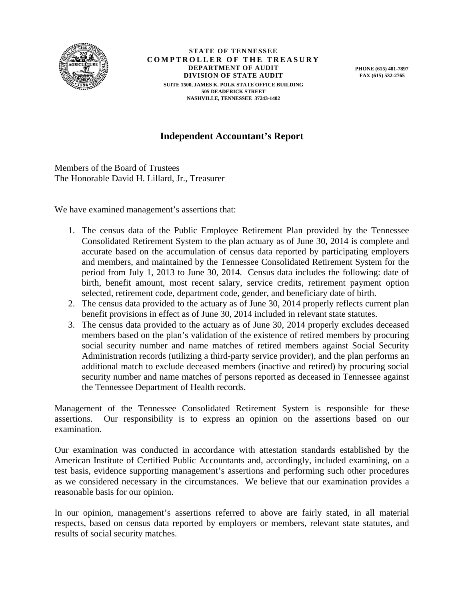

**STATE OF TENNESSEE COMPTROLLER OF THE TREASURY DEPARTMENT OF AUDIT DIVISION OF STATE AUDIT SUITE 1500, JAMES K. POLK STATE OFFICE BUILDING 505 DEADERICK STREET NASHVILLE, TENNESSEE 37243-1402** 

**PHONE (615) 401-7897 FAX (615) 532-2765** 

## **Independent Accountant's Report**

Members of the Board of Trustees The Honorable David H. Lillard, Jr., Treasurer

We have examined management's assertions that:

- 1. The census data of the Public Employee Retirement Plan provided by the Tennessee Consolidated Retirement System to the plan actuary as of June 30, 2014 is complete and accurate based on the accumulation of census data reported by participating employers and members, and maintained by the Tennessee Consolidated Retirement System for the period from July 1, 2013 to June 30, 2014. Census data includes the following: date of birth, benefit amount, most recent salary, service credits, retirement payment option selected, retirement code, department code, gender, and beneficiary date of birth.
- 2. The census data provided to the actuary as of June 30, 2014 properly reflects current plan benefit provisions in effect as of June 30, 2014 included in relevant state statutes.
- 3. The census data provided to the actuary as of June 30, 2014 properly excludes deceased members based on the plan's validation of the existence of retired members by procuring social security number and name matches of retired members against Social Security Administration records (utilizing a third-party service provider), and the plan performs an additional match to exclude deceased members (inactive and retired) by procuring social security number and name matches of persons reported as deceased in Tennessee against the Tennessee Department of Health records.

Management of the Tennessee Consolidated Retirement System is responsible for these assertions. Our responsibility is to express an opinion on the assertions based on our examination.

Our examination was conducted in accordance with attestation standards established by the American Institute of Certified Public Accountants and, accordingly, included examining, on a test basis, evidence supporting management's assertions and performing such other procedures as we considered necessary in the circumstances. We believe that our examination provides a reasonable basis for our opinion.

In our opinion, management's assertions referred to above are fairly stated, in all material respects, based on census data reported by employers or members, relevant state statutes, and results of social security matches.